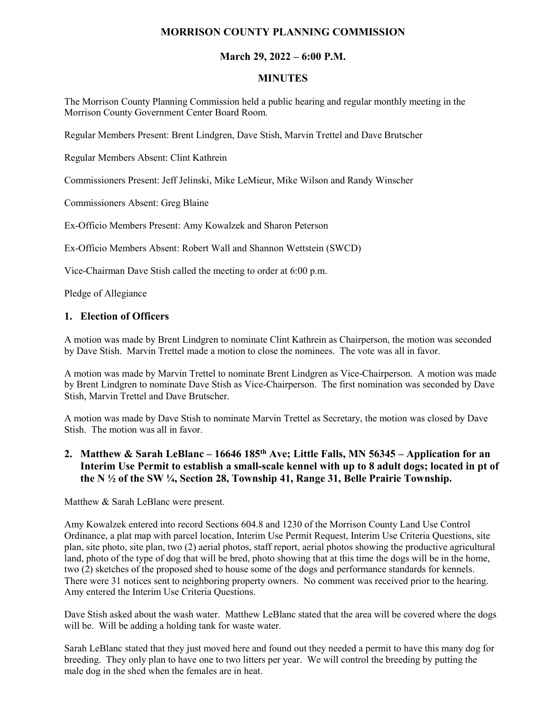## **MORRISON COUNTY PLANNING COMMISSION**

### **March 29, 2022 – 6:00 P.M.**

#### **MINUTES**

The Morrison County Planning Commission held a public hearing and regular monthly meeting in the Morrison County Government Center Board Room.

Regular Members Present: Brent Lindgren, Dave Stish, Marvin Trettel and Dave Brutscher

Regular Members Absent: Clint Kathrein

Commissioners Present: Jeff Jelinski, Mike LeMieur, Mike Wilson and Randy Winscher

Commissioners Absent: Greg Blaine

Ex-Officio Members Present: Amy Kowalzek and Sharon Peterson

Ex-Officio Members Absent: Robert Wall and Shannon Wettstein (SWCD)

Vice-Chairman Dave Stish called the meeting to order at 6:00 p.m.

Pledge of Allegiance

#### **1. Election of Officers**

A motion was made by Brent Lindgren to nominate Clint Kathrein as Chairperson, the motion was seconded by Dave Stish. Marvin Trettel made a motion to close the nominees. The vote was all in favor.

A motion was made by Marvin Trettel to nominate Brent Lindgren as Vice-Chairperson. A motion was made by Brent Lindgren to nominate Dave Stish as Vice-Chairperson. The first nomination was seconded by Dave Stish, Marvin Trettel and Dave Brutscher.

A motion was made by Dave Stish to nominate Marvin Trettel as Secretary, the motion was closed by Dave Stish. The motion was all in favor.

# **2. Matthew & Sarah LeBlanc – 16646 185th Ave; Little Falls, MN 56345 – Application for an Interim Use Permit to establish a small-scale kennel with up to 8 adult dogs; located in pt of the N ½ of the SW ¼, Section 28, Township 41, Range 31, Belle Prairie Township.**

Matthew & Sarah LeBlanc were present.

Amy Kowalzek entered into record Sections 604.8 and 1230 of the Morrison County Land Use Control Ordinance, a plat map with parcel location, Interim Use Permit Request, Interim Use Criteria Questions, site plan, site photo, site plan, two (2) aerial photos, staff report, aerial photos showing the productive agricultural land, photo of the type of dog that will be bred, photo showing that at this time the dogs will be in the home, two (2) sketches of the proposed shed to house some of the dogs and performance standards for kennels. There were 31 notices sent to neighboring property owners. No comment was received prior to the hearing. Amy entered the Interim Use Criteria Questions.

Dave Stish asked about the wash water. Matthew LeBlanc stated that the area will be covered where the dogs will be. Will be adding a holding tank for waste water.

Sarah LeBlanc stated that they just moved here and found out they needed a permit to have this many dog for breeding. They only plan to have one to two litters per year. We will control the breeding by putting the male dog in the shed when the females are in heat.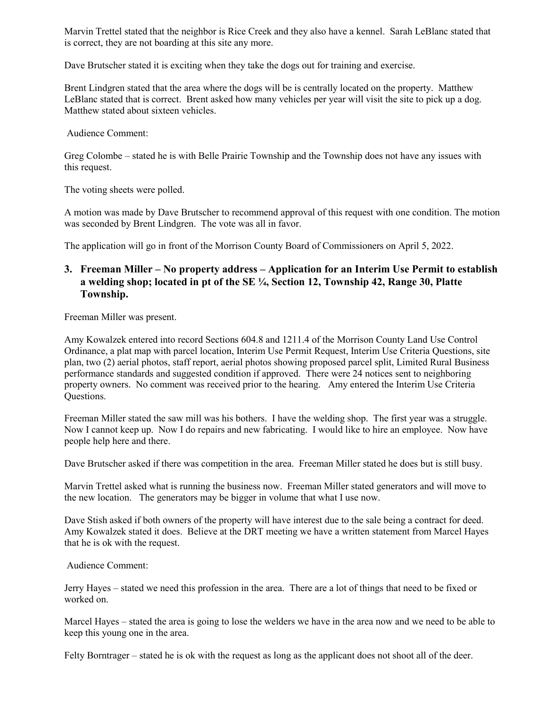Marvin Trettel stated that the neighbor is Rice Creek and they also have a kennel. Sarah LeBlanc stated that is correct, they are not boarding at this site any more.

Dave Brutscher stated it is exciting when they take the dogs out for training and exercise.

Brent Lindgren stated that the area where the dogs will be is centrally located on the property. Matthew LeBlanc stated that is correct. Brent asked how many vehicles per year will visit the site to pick up a dog. Matthew stated about sixteen vehicles.

Audience Comment:

Greg Colombe – stated he is with Belle Prairie Township and the Township does not have any issues with this request.

The voting sheets were polled.

A motion was made by Dave Brutscher to recommend approval of this request with one condition. The motion was seconded by Brent Lindgren. The vote was all in favor.

The application will go in front of the Morrison County Board of Commissioners on April 5, 2022.

#### **3. Freeman Miller – No property address – Application for an Interim Use Permit to establish a welding shop; located in pt of the SE ¼, Section 12, Township 42, Range 30, Platte Township.**

Freeman Miller was present.

Amy Kowalzek entered into record Sections 604.8 and 1211.4 of the Morrison County Land Use Control Ordinance, a plat map with parcel location, Interim Use Permit Request, Interim Use Criteria Questions, site plan, two (2) aerial photos, staff report, aerial photos showing proposed parcel split, Limited Rural Business performance standards and suggested condition if approved. There were 24 notices sent to neighboring property owners. No comment was received prior to the hearing. Amy entered the Interim Use Criteria Questions.

Freeman Miller stated the saw mill was his bothers. I have the welding shop. The first year was a struggle. Now I cannot keep up. Now I do repairs and new fabricating. I would like to hire an employee. Now have people help here and there.

Dave Brutscher asked if there was competition in the area. Freeman Miller stated he does but is still busy.

Marvin Trettel asked what is running the business now. Freeman Miller stated generators and will move to the new location. The generators may be bigger in volume that what I use now.

Dave Stish asked if both owners of the property will have interest due to the sale being a contract for deed. Amy Kowalzek stated it does. Believe at the DRT meeting we have a written statement from Marcel Hayes that he is ok with the request.

Audience Comment:

Jerry Hayes – stated we need this profession in the area. There are a lot of things that need to be fixed or worked on.

Marcel Hayes – stated the area is going to lose the welders we have in the area now and we need to be able to keep this young one in the area.

Felty Borntrager – stated he is ok with the request as long as the applicant does not shoot all of the deer.